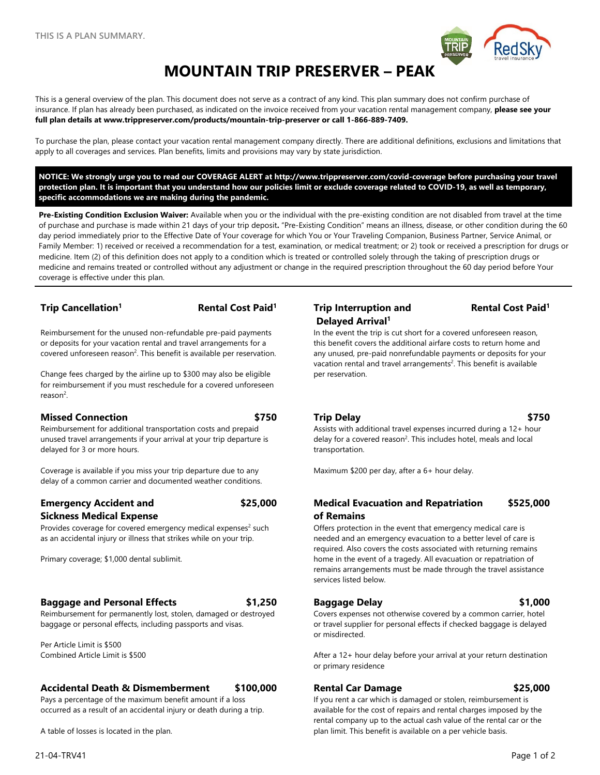

# **MOUNTAIN TRIP PRESERVER – PEAK**

This is a general overview of the plan. This document does not serve as a contract of any kind. This plan summary does not confirm purchase of insurance. If plan has already been purchased, as indicated on the invoice received from your vacation rental management company, **please see your full plan details at www.trippreserver.com/products/mountain-trip-preserver or call 1-866-889-7409.**

To purchase the plan, please contact your vacation rental management company directly. There are additional definitions, exclusions and limitations that apply to all coverages and services. Plan benefits, limits and provisions may vary by state jurisdiction.

**NOTICE: We strongly urge you to read our COVERAGE ALERT at<http://www.trippreserver.com/covid-coverage> before purchasing your travel protection plan. It is important that you understand how our policies limit or exclude coverage related to COVID-19, as well as temporary, specific accommodations we are making during the pandemic.**

**Pre-Existing Condition Exclusion Waiver:** Available when you or the individual with the pre-existing condition are not disabled from travel at the time of purchase and purchase is made within 21 days of your trip deposit**.** "Pre-Existing Condition" means an illness, disease, or other condition during the 60 day period immediately prior to the Effective Date of Your coverage for which You or Your Traveling Companion, Business Partner, Service Animal, or Family Member: 1) received or received a recommendation for a test, examination, or medical treatment; or 2) took or received a prescription for drugs or medicine. Item (2) of this definition does not apply to a condition which is treated or controlled solely through the taking of prescription drugs or medicine and remains treated or controlled without any adjustment or change in the required prescription throughout the 60 day period before Your coverage is effective under this plan.

Reimbursement for the unused non-refundable pre-paid payments or deposits for your vacation rental and travel arrangements for a covered unforeseen reason<sup>2</sup>. This benefit is available per reservation.

Change fees charged by the airline up to \$300 may also be eligible for reimbursement if you must reschedule for a covered unforeseen reason<sup>2</sup>.

### **Missed Connection \$750 Trip Delay \$750**

Reimbursement for additional transportation costs and prepaid unused travel arrangements if your arrival at your trip departure is delayed for 3 or more hours.

Coverage is available if you miss your trip departure due to any delay of a common carrier and documented weather conditions.

## **Emergency Accident and**

### **Sickness Medical Expense**

Provides coverage for covered emergency medical expenses $2$  such as an accidental injury or illness that strikes while on your trip.

Primary coverage; \$1,000 dental sublimit.

### **Baggage and Personal Effects \$1,250 Baggage Delay \$1,000**

Reimbursement for permanently lost, stolen, damaged or destroyed baggage or personal effects, including passports and visas.

Per Article Limit is \$500 Combined Article Limit is \$500

### **Accidental Death & Dismemberment \$100,000 Rental Car Damage \$25,000**

Pays a percentage of the maximum benefit amount if a loss occurred as a result of an accidental injury or death during a trip.

A table of losses is located in the plan.

### **Trip Cancellation1 Rental Cost Paid1 Trip Interruption and Delayed Arrival1**

### **Rental Cost Paid1**

In the event the trip is cut short for a covered unforeseen reason, this benefit covers the additional airfare costs to return home and any unused, pre-paid nonrefundable payments or deposits for your vacation rental and travel arrangements<sup>2</sup>. This benefit is available per reservation.

Assists with additional travel expenses incurred during a 12+ hour delay for a covered reason<sup>2</sup>. This includes hotel, meals and local transportation.

Maximum \$200 per day, after a 6+ hour delay.

### **\$25,000 Medical Evacuation and Repatriation of Remains \$525,000**

Offers protection in the event that emergency medical care is needed and an emergency evacuation to a better level of care is required. Also covers the costs associated with returning remains home in the event of a tragedy. All evacuation or repatriation of remains arrangements must be made through the travel assistance services listed below.

Covers expenses not otherwise covered by a common carrier, hotel or travel supplier for personal effects if checked baggage is delayed or misdirected.

After a 12+ hour delay before your arrival at your return destination or primary residence

If you rent a car which is damaged or stolen, reimbursement is available for the cost of repairs and rental charges imposed by the rental company up to the actual cash value of the rental car or the plan limit. This benefit is available on a per vehicle basis.